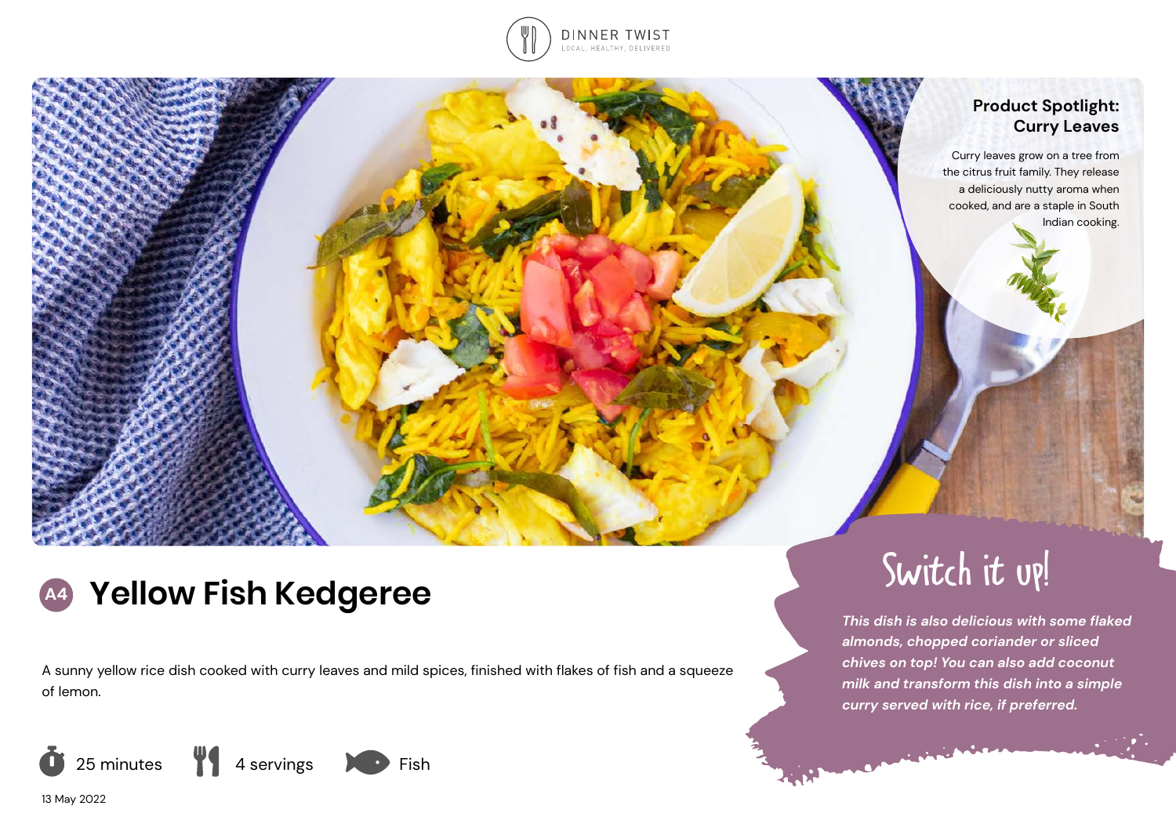

## **Product Spotlight: Curry Leaves**

Curry leaves grow on a tree from the citrus fruit family. They release a deliciously nutty aroma when cooked, and are a staple in South Indian cooking.

# **A4 Yellow Fish Kedgeree** Switch it up!

A sunny yellow rice dish cooked with curry leaves and mild spices, finished with flakes of fish and a squeeze of lemon.







*This dish is also delicious with some flaked almonds, chopped coriander or sliced chives on top! You can also add coconut milk and transform this dish into a simple curry served with rice, if preferred.*

13 May 2022